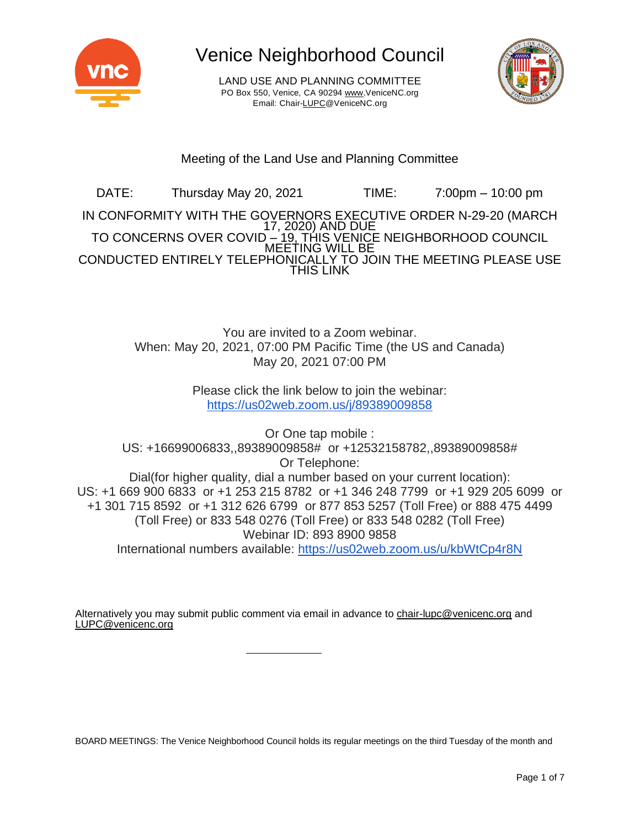

LAND USE AND PLANNING COMMITTEE PO Box 550, Venice, CA 90294 [www.VeniceNC.org](http://www.venicenc.org/) Email: Chai[r-LUPC@VeniceNC.org](mailto:LUPC@VeniceNC.org)



### Meeting of the Land Use and Planning Committee

DATE: Thursday May 20, 2021 TIME: 7:00pm – 10:00 pm IN CONFORMITY WITH THE GOVERNORS EXECUTIVE ORDER N-29-20 (MARCH 17, 2020) AND DUE TO CONCERNS OVER COVID <u>– 19, THIS VENIC</u>E NEIGHBORHOOD COUNCIL MEETING WILL BE CONDUCTED ENTIRELY TELEPHONICALLY TO JOIN THE MEETING PLEASE USE THIS LINK

> You are invited to a Zoom webinar. When: May 20, 2021, 07:00 PM Pacific Time (the US and Canada) May 20, 2021 07:00 PM

> > Please click the link below to join the webinar: <https://us02web.zoom.us/j/89389009858>

Or One tap mobile : US: +16699006833,,89389009858# or +12532158782,,89389009858# Or Telephone: Dial(for higher quality, dial a number based on your current location): US: +1 669 900 6833 or +1 253 215 8782 or +1 346 248 7799 or +1 929 205 6099 or +1 301 715 8592 or +1 312 626 6799 or 877 853 5257 (Toll Free) or 888 475 4499 (Toll Free) or 833 548 0276 (Toll Free) or 833 548 0282 (Toll Free) Webinar ID: 893 8900 9858 International numbers available: <https://us02web.zoom.us/u/kbWtCp4r8N>

Alternatively you may submit public comment via email in advance to [chair-lupc@venicenc.org](mailto:chair-lupc@venicenc.org) and [LUPC@venicenc.org](mailto:LUPC@venicenc.org)

BOARD MEETINGS: The Venice Neighborhood Council holds its regular meetings on the third Tuesday of the month and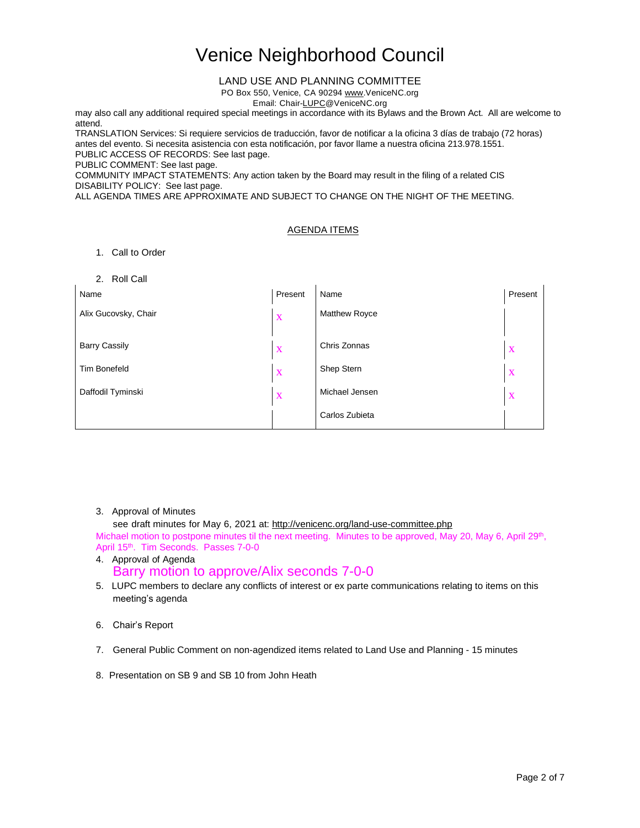#### LAND USE AND PLANNING COMMITTEE

PO Box 550, Venice, CA 90294 [www.VeniceNC.org](http://www.venicenc.org/)

Email: Chai[r-LUPC@VeniceNC.org](mailto:LUPC@VeniceNC.org)

may also call any additional required special meetings in accordance with its Bylaws and the Brown Act. All are welcome to attend.

TRANSLATION Services: Si requiere servicios de traducción, favor de notificar a la oficina 3 días de trabajo (72 horas) antes del evento. Si necesita asistencia con esta notificación, por favor llame a nuestra oficina 213.978.1551. PUBLIC ACCESS OF RECORDS: See last page.

PUBLIC COMMENT: See last page.

COMMUNITY IMPACT STATEMENTS: Any action taken by the Board may result in the filing of a related CIS DISABILITY POLICY: See last page.

ALL AGENDA TIMES ARE APPROXIMATE AND SUBJECT TO CHANGE ON THE NIGHT OF THE MEETING.

#### AGENDA ITEMS

1. Call to Order

#### 2. Roll Call

| <b>4. INVILVAIL</b>  |         |                |              |
|----------------------|---------|----------------|--------------|
| Name                 | Present | Name           | Present      |
| Alix Gucovsky, Chair | X       | Matthew Royce  |              |
|                      |         |                |              |
| <b>Barry Cassily</b> | X       | Chris Zonnas   | X            |
| <b>Tim Bonefeld</b>  | X       | Shep Stern     | X            |
| Daffodil Tyminski    | X       | Michael Jensen | $\mathbf{X}$ |
|                      |         | Carlos Zubieta |              |

#### 3. Approval of Minutes

see draft minutes for May 6, 2021 at: <http://venicenc.org/land-use-committee.php>

Michael motion to postpone minutes til the next meeting. Minutes to be approved, May 20, May 6, April 29<sup>th</sup>, April 15<sup>th</sup>. Tim Seconds. Passes 7-0-0

### 4. Approval of Agenda

Barry motion to approve/Alix seconds 7-0-0

5. LUPC members to declare any conflicts of interest or ex parte communications relating to items on this meeting's agenda

- 7. General Public Comment on non-agendized items related to Land Use and Planning 15 minutes
- 8. Presentation on SB 9 and SB 10 from John Heath

<sup>6.</sup> Chair's Report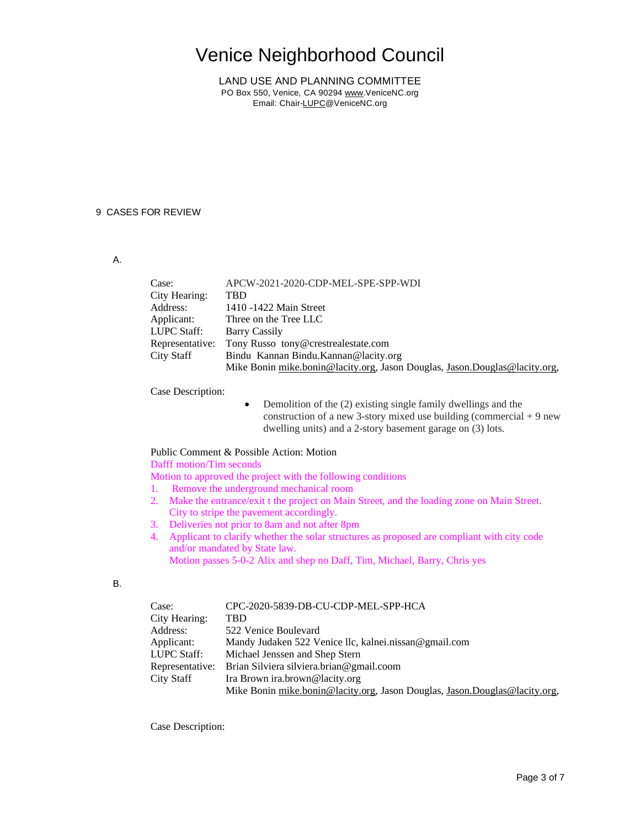LAND USE AND PLANNING COMMITTEE PO Box 550, Venice, CA 90294 [www.VeniceNC.org](http://www.venicenc.org/) Email: Chai[r-LUPC@VeniceNC.org](mailto:LUPC@VeniceNC.org)

#### 9 CASES FOR REVIEW

#### A.

| Case:           | APCW-2021-2020-CDP-MEL-SPE-SPP-WDI                                         |
|-----------------|----------------------------------------------------------------------------|
| City Hearing:   | TBD                                                                        |
| Address:        | 1410 -1422 Main Street                                                     |
| Applicant:      | Three on the Tree LLC                                                      |
| LUPC Staff:     | Barry Cassily                                                              |
| Representative: | Tony Russo tony@crestrealestate.com                                        |
| City Staff      | Bindu Kannan Bindu. Kannan @lacity.org                                     |
|                 | Mike Bonin mike.bonin@lacity.org, Jason Douglas, Jason.Douglas@lacity.org, |

Case Description:

• Demolition of the (2) existing single family dwellings and the construction of a new 3-story mixed use building (commercial  $+9$  new dwelling units) and a 2-story basement garage on (3) lots.

#### Public Comment & Possible Action: Motion

Dafff motion/Tim seconds

Motion to approved the project with the following conditions

- 1. Remove the underground mechanical room
- 2. Make the entrance/exit t the project on Main Street, and the loading zone on Main Street. City to stripe the pavement accordingly.
- 3. Deliveries not prior to 8am and not after 8pm
- 4. Applicant to clarify whether the solar structures as proposed are compliant with city code and/or mandated by State law. Motion passes 5-0-2 Alix and shep no Daff, Tim, Michael, Barry, Chris yes

#### B.

| Case:           | CPC-2020-5839-DB-CU-CDP-MEL-SPP-HCA                                        |
|-----------------|----------------------------------------------------------------------------|
| City Hearing:   | TBD                                                                        |
| Address:        | 522 Venice Boulevard                                                       |
| Applicant:      | Mandy Judaken 522 Venice llc, kalnei.nissan@gmail.com                      |
| LUPC Staff:     | Michael Jenssen and Shep Stern                                             |
| Representative: | Brian Silviera silviera.brian@gmail.coom                                   |
| City Staff      | Ira Brown ira.brown@lacity.org                                             |
|                 | Mike Bonin mike.bonin@lacity.org, Jason Douglas, Jason.Douglas@lacity.org, |

Case Description: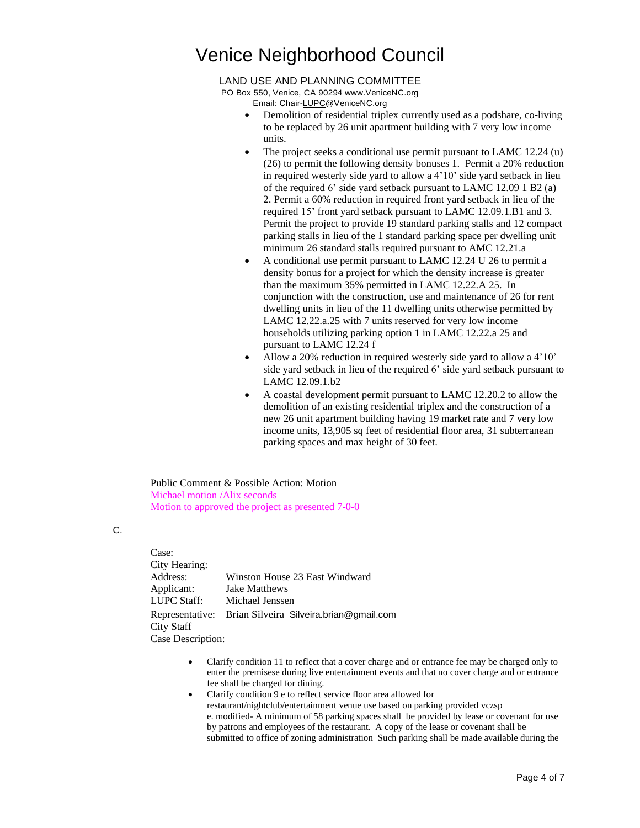#### LAND USE AND PLANNING COMMITTEE

PO Box 550, Venice, CA 90294 [www.VeniceNC.org](http://www.venicenc.org/) Email: Chai[r-LUPC@VeniceNC.org](mailto:LUPC@VeniceNC.org)

- Demolition of residential triplex currently used as a podshare, co-living to be replaced by 26 unit apartment building with 7 very low income units.
- The project seeks a conditional use permit pursuant to LAMC 12.24 (u) (26) to permit the following density bonuses 1. Permit a 20% reduction in required westerly side yard to allow a 4'10' side yard setback in lieu of the required 6' side yard setback pursuant to LAMC 12.09 1 B2 (a) 2. Permit a 60% reduction in required front yard setback in lieu of the required 15' front yard setback pursuant to LAMC 12.09.1.B1 and 3. Permit the project to provide 19 standard parking stalls and 12 compact parking stalls in lieu of the 1 standard parking space per dwelling unit minimum 26 standard stalls required pursuant to AMC 12.21.a
- A conditional use permit pursuant to LAMC 12.24 U 26 to permit a density bonus for a project for which the density increase is greater than the maximum 35% permitted in LAMC 12.22.A 25. In conjunction with the construction, use and maintenance of 26 for rent dwelling units in lieu of the 11 dwelling units otherwise permitted by LAMC 12.22.a.25 with 7 units reserved for very low income households utilizing parking option 1 in LAMC 12.22.a 25 and pursuant to LAMC 12.24 f
- Allow a 20% reduction in required westerly side yard to allow a 4'10' side yard setback in lieu of the required 6' side yard setback pursuant to LAMC 12.09.1.b2
- A coastal development permit pursuant to LAMC 12.20.2 to allow the demolition of an existing residential triplex and the construction of a new 26 unit apartment building having 19 market rate and 7 very low income units, 13,905 sq feet of residential floor area, 31 subterranean parking spaces and max height of 30 feet.

Public Comment & Possible Action: Motion Michael motion /Alix seconds Motion to approved the project as presented 7-0-0

C.

Case: City Hearing: Address: Winston House 23 East Windward Applicant: Jake Matthews LUPC Staff: Michael Jenssen Representative: Brian Silveira Silveira.brian@gmail.com City Staff Case Description:

- Clarify condition 11 to reflect that a cover charge and or entrance fee may be charged only to enter the premisese during live entertainment events and that no cover charge and or entrance fee shall be charged for dining.
- Clarify condition 9 e to reflect service floor area allowed for restaurant/nightclub/entertainment venue use based on parking provided vczsp e. modified- A minimum of 58 parking spaces shall be provided by lease or covenant for use by patrons and employees of the restaurant. A copy of the lease or covenant shall be submitted to office of zoning administration Such parking shall be made available during the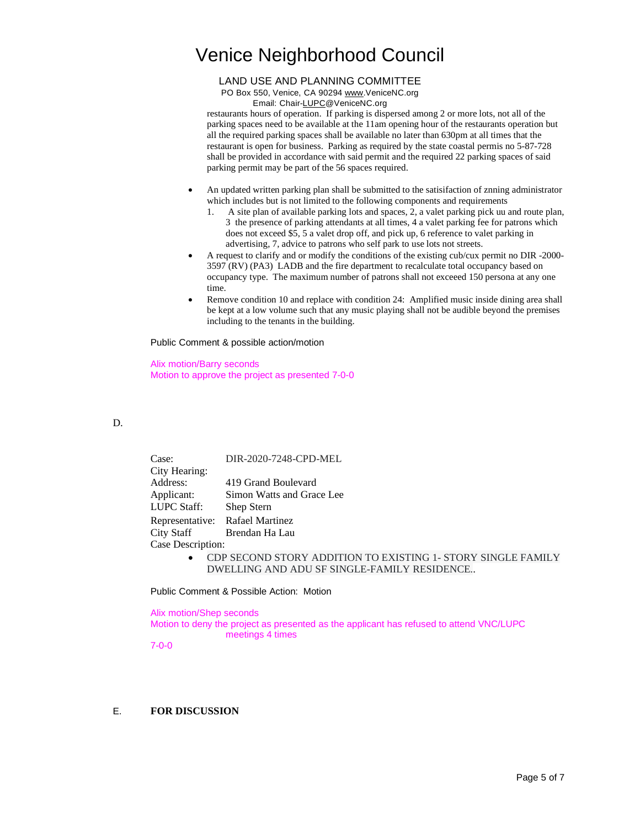#### LAND USE AND PLANNING COMMITTEE

PO Box 550, Venice, CA 90294 [www.VeniceNC.org](http://www.venicenc.org/)

Email: Chai[r-LUPC@VeniceNC.org](mailto:LUPC@VeniceNC.org)

restaurants hours of operation. If parking is dispersed among 2 or more lots, not all of the parking spaces need to be available at the 11am opening hour of the restaurants operation but all the required parking spaces shall be available no later than 630pm at all times that the restaurant is open for business. Parking as required by the state coastal permis no 5-87-728 shall be provided in accordance with said permit and the required 22 parking spaces of said parking permit may be part of the 56 spaces required.

- An updated written parking plan shall be submitted to the satisifaction of znning administrator which includes but is not limited to the following components and requirements
	- 1. A site plan of available parking lots and spaces, 2, a valet parking pick uu and route plan, 3 the presence of parking attendants at all times, 4 a valet parking fee for patrons which does not exceed \$5, 5 a valet drop off, and pick up, 6 reference to valet parking in advertising, 7, advice to patrons who self park to use lots not streets.
- A request to clarify and or modify the conditions of the existing cub/cux permit no DIR -2000- 3597 (RV) (PA3) LADB and the fire department to recalculate total occupancy based on occupancy type. The maximum number of patrons shall not exceeed 150 persona at any one time.
- Remove condition 10 and replace with condition 24: Amplified music inside dining area shall be kept at a low volume such that any music playing shall not be audible beyond the premises including to the tenants in the building.

Public Comment & possible action/motion

Alix motion/Barry seconds Motion to approve the project as presented 7-0-0

#### D.

|                   | Case:         | DIR-2020-7248-CPD-MEL                                        |
|-------------------|---------------|--------------------------------------------------------------|
|                   | City Hearing: |                                                              |
|                   | Address:      | 419 Grand Boulevard                                          |
|                   | Applicant:    | Simon Watts and Grace Lee                                    |
|                   | LUPC Staff:   | Shep Stern                                                   |
|                   |               | Representative: Rafael Martinez                              |
|                   |               | City Staff Brendan Ha Lau                                    |
| Case Description: |               |                                                              |
|                   | $\bullet$     | CDP SECOND STORY ADDITION TO EXISTING 1- STORY SINGLE FAMILY |
|                   |               | DWELLING AND ADU SF SINGLE-FAMILY RESIDENCE                  |

Public Comment & Possible Action: Motion

Alix motion/Shep seconds Motion to deny the project as presented as the applicant has refused to attend VNC/LUPC meetings 4 times

7-0-0

#### E. **FOR DISCUSSION**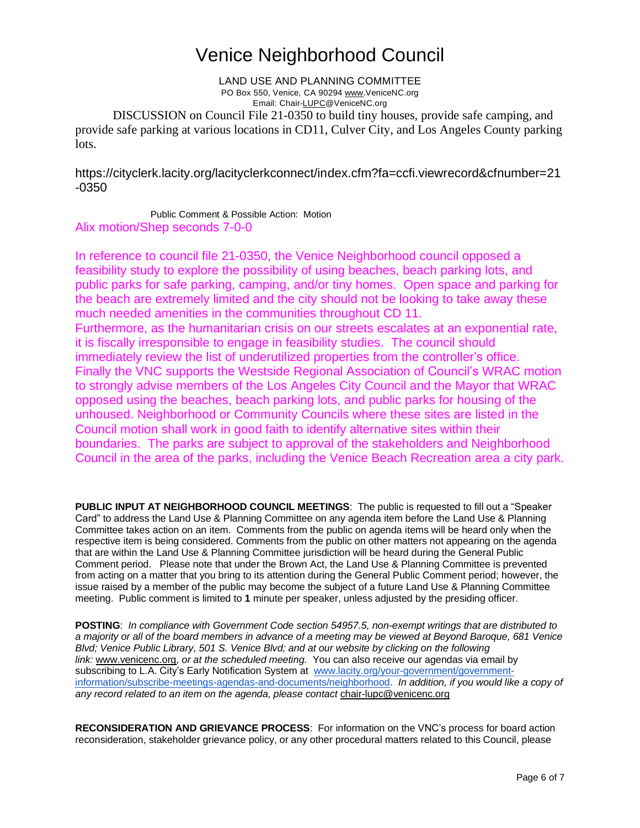LAND USE AND PLANNING COMMITTEE PO Box 550, Venice, CA 90294 [www.VeniceNC.org](http://www.venicenc.org/) Email: Chai[r-LUPC@VeniceNC.org](mailto:LUPC@VeniceNC.org)

DISCUSSION on Council File 21-0350 to build tiny houses, provide safe camping, and provide safe parking at various locations in CD11, Culver City, and Los Angeles County parking lots.

https://cityclerk.lacity.org/lacityclerkconnect/index.cfm?fa=ccfi.viewrecord&cfnumber=21 -0350

Public Comment & Possible Action: Motion Alix motion/Shep seconds 7-0-0

In reference to council file 21-0350, the Venice Neighborhood council opposed a feasibility study to explore the possibility of using beaches, beach parking lots, and public parks for safe parking, camping, and/or tiny homes. Open space and parking for the beach are extremely limited and the city should not be looking to take away these much needed amenities in the communities throughout CD 11.

Furthermore, as the humanitarian crisis on our streets escalates at an exponential rate, it is fiscally irresponsible to engage in feasibility studies. The council should immediately review the list of underutilized properties from the controller's office. Finally the VNC supports the Westside Regional Association of Council's WRAC motion to strongly advise members of the Los Angeles City Council and the Mayor that WRAC opposed using the beaches, beach parking lots, and public parks for housing of the unhoused. Neighborhood or Community Councils where these sites are listed in the Council motion shall work in good faith to identify alternative sites within their boundaries. The parks are subject to approval of the stakeholders and Neighborhood Council in the area of the parks, including the Venice Beach Recreation area a city park.

**PUBLIC INPUT AT NEIGHBORHOOD COUNCIL MEETINGS**: The public is requested to fill out a "Speaker Card" to address the Land Use & Planning Committee on any agenda item before the Land Use & Planning Committee takes action on an item. Comments from the public on agenda items will be heard only when the respective item is being considered. Comments from the public on other matters not appearing on the agenda that are within the Land Use & Planning Committee jurisdiction will be heard during the General Public Comment period. Please note that under the Brown Act, the Land Use & Planning Committee is prevented from acting on a matter that you bring to its attention during the General Public Comment period; however, the issue raised by a member of the public may become the subject of a future Land Use & Planning Committee meeting. Public comment is limited to **1** minute per speaker, unless adjusted by the presiding officer.

**POSTING**: *In compliance with Government Code section 54957.5, non-exempt writings that are distributed to* a majority or all of the board members in advance of a meeting may be viewed at Beyond Baroque, 681 Venice *Blvd; Venice Public Library, 501 S. Venice Blvd; and at our website by clicking on the following link:* [www.venicenc.org](http://www.venicenc.org/)*, or at the scheduled meeting.* You can also receive our agendas via email by subscribing to L.A. City's Early Notification System at[www.lacity.org/your-government/government](http://www.lacity.org/your-government/government-information/subscribe-meetings-agendas-and-documents/neighborhood)[information/subscribe-meetings-agendas-and-documents/neighborhood.](http://www.lacity.org/your-government/government-information/subscribe-meetings-agendas-and-documents/neighborhood) *In addition, if you would like a copy of any record related to an item on the agenda, please contact* [chair-lupc@venicenc.org](mailto:chair-lupc@venicenc.org)

**RECONSIDERATION AND GRIEVANCE PROCESS**: For information on the VNC's process for board action reconsideration, stakeholder grievance policy, or any other procedural matters related to this Council, please